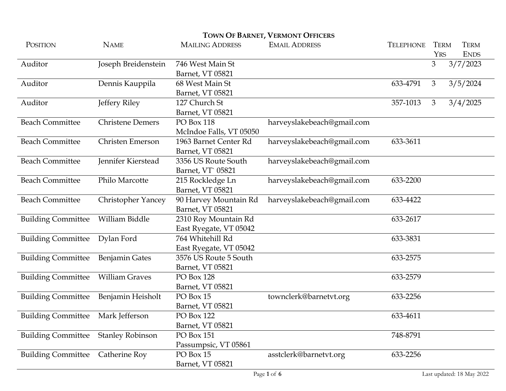|                           |                           |                         | <b>TOWN OF BARNET, VERMONT OFFICERS</b> |                  |             |             |  |
|---------------------------|---------------------------|-------------------------|-----------------------------------------|------------------|-------------|-------------|--|
| POSITION                  | <b>NAME</b>               | <b>MAILING ADDRESS</b>  | <b>EMAIL ADDRESS</b>                    | <b>TELEPHONE</b> | <b>TERM</b> | <b>TERM</b> |  |
|                           |                           |                         |                                         |                  | <b>YRS</b>  | <b>ENDS</b> |  |
| Auditor                   | Joseph Breidenstein       | 746 West Main St        |                                         |                  | 3           | 3/7/2023    |  |
|                           |                           | Barnet, VT 05821        |                                         |                  |             |             |  |
| Auditor                   | Dennis Kauppila           | 68 West Main St         |                                         | 633-4791         | 3           | 3/5/2024    |  |
|                           |                           | Barnet, VT 05821        |                                         |                  |             |             |  |
| Auditor                   | Jeffery Riley             | 127 Church St           |                                         | 357-1013         | 3           | 3/4/2025    |  |
|                           |                           | Barnet, VT 05821        |                                         |                  |             |             |  |
| <b>Beach Committee</b>    | <b>Christene Demers</b>   | PO Box 118              | harveyslakebeach@gmail.com              |                  |             |             |  |
|                           |                           | McIndoe Falls, VT 05050 |                                         |                  |             |             |  |
| <b>Beach Committee</b>    | <b>Christen Emerson</b>   | 1963 Barnet Center Rd   | harveyslakebeach@gmail.com              | 633-3611         |             |             |  |
|                           |                           | Barnet, VT 05821        |                                         |                  |             |             |  |
| <b>Beach Committee</b>    | Jennifer Kierstead        | 3356 US Route South     | harveyslakebeach@gmail.com              |                  |             |             |  |
|                           |                           | Barnet, VT 05821        |                                         |                  |             |             |  |
| <b>Beach Committee</b>    | Philo Marcotte            | 215 Rockledge Ln        | harveyslakebeach@gmail.com              | 633-2200         |             |             |  |
|                           |                           | Barnet, VT 05821        |                                         |                  |             |             |  |
| <b>Beach Committee</b>    | <b>Christopher Yancey</b> | 90 Harvey Mountain Rd   | harveyslakebeach@gmail.com              | 633-4422         |             |             |  |
|                           |                           | Barnet, VT 05821        |                                         |                  |             |             |  |
| <b>Building Committee</b> | William Biddle            | 2310 Roy Mountain Rd    |                                         | 633-2617         |             |             |  |
|                           |                           | East Ryegate, VT 05042  |                                         |                  |             |             |  |
| <b>Building Committee</b> | Dylan Ford                | 764 Whitehill Rd        |                                         | 633-3831         |             |             |  |
|                           |                           | East Ryegate, VT 05042  |                                         |                  |             |             |  |
| <b>Building Committee</b> | <b>Benjamin Gates</b>     | 3576 US Route 5 South   |                                         | 633-2575         |             |             |  |
|                           |                           | Barnet, VT 05821        |                                         |                  |             |             |  |
| <b>Building Committee</b> | <b>William Graves</b>     | PO Box 128              |                                         | 633-2579         |             |             |  |
|                           |                           | Barnet, VT 05821        |                                         |                  |             |             |  |
| <b>Building Committee</b> | Benjamin Heisholt         | PO Box 15               | townclerk@barnetvt.org                  | 633-2256         |             |             |  |
|                           |                           | Barnet, VT 05821        |                                         |                  |             |             |  |
| <b>Building Committee</b> | Mark Jefferson            | PO Box 122              |                                         | 633-4611         |             |             |  |
|                           |                           | Barnet, VT 05821        |                                         |                  |             |             |  |
| <b>Building Committee</b> | <b>Stanley Robinson</b>   | PO Box 151              |                                         | 748-8791         |             |             |  |
|                           |                           | Passumpsic, VT 05861    |                                         |                  |             |             |  |
| <b>Building Committee</b> | Catherine Roy             | PO Box 15               | asstclerk@barnetvt.org                  | 633-2256         |             |             |  |
|                           |                           | Barnet, VT 05821        |                                         |                  |             |             |  |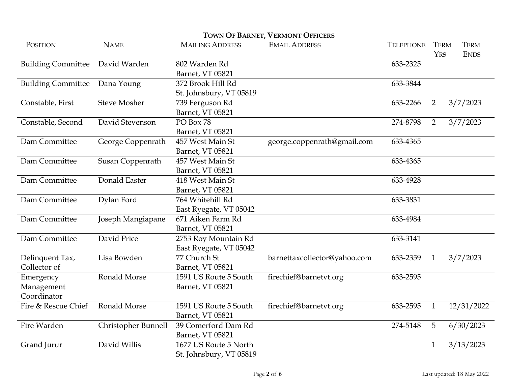| TOWN OF BARNET, VERMONT OFFICERS       |                     |                                                  |                              |                  |                           |                            |  |
|----------------------------------------|---------------------|--------------------------------------------------|------------------------------|------------------|---------------------------|----------------------------|--|
| POSITION                               | <b>NAME</b>         | <b>MAILING ADDRESS</b>                           | <b>EMAIL ADDRESS</b>         | <b>TELEPHONE</b> | <b>TERM</b><br><b>YRS</b> | <b>TERM</b><br><b>ENDS</b> |  |
| <b>Building Committee</b>              | David Warden        | 802 Warden Rd<br>Barnet, VT 05821                |                              | 633-2325         |                           |                            |  |
| <b>Building Committee</b>              | Dana Young          | 372 Brook Hill Rd<br>St. Johnsbury, VT 05819     |                              | 633-3844         |                           |                            |  |
| Constable, First                       | <b>Steve Mosher</b> | 739 Ferguson Rd<br>Barnet, VT 05821              |                              | 633-2266         | 2                         | 3/7/2023                   |  |
| Constable, Second                      | David Stevenson     | PO Box 78<br>Barnet, VT 05821                    |                              | 274-8798         | 2                         | 3/7/2023                   |  |
| Dam Committee                          | George Coppenrath   | 457 West Main St<br>Barnet, VT 05821             | george.coppenrath@gmail.com  | 633-4365         |                           |                            |  |
| Dam Committee                          | Susan Coppenrath    | 457 West Main St<br>Barnet, VT 05821             |                              | 633-4365         |                           |                            |  |
| Dam Committee                          | Donald Easter       | 418 West Main St<br>Barnet, VT 05821             |                              | 633-4928         |                           |                            |  |
| Dam Committee                          | Dylan Ford          | 764 Whitehill Rd<br>East Ryegate, VT 05042       |                              | 633-3831         |                           |                            |  |
| Dam Committee                          | Joseph Mangiapane   | 671 Aiken Farm Rd<br>Barnet, VT 05821            |                              | 633-4984         |                           |                            |  |
| Dam Committee                          | David Price         | 2753 Roy Mountain Rd<br>East Ryegate, VT 05042   |                              | 633-3141         |                           |                            |  |
| Delinquent Tax,<br>Collector of        | Lisa Bowden         | 77 Church St<br>Barnet, VT 05821                 | barnettaxcollector@yahoo.com | 633-2359         | $\mathbf{1}$              | 3/7/2023                   |  |
| Emergency<br>Management<br>Coordinator | Ronald Morse        | 1591 US Route 5 South<br>Barnet, VT 05821        | firechief@barnetvt.org       | 633-2595         |                           |                            |  |
| Fire & Rescue Chief                    | <b>Ronald Morse</b> | 1591 US Route 5 South<br>Barnet, VT 05821        | firechief@barnetvt.org       | 633-2595         | $\mathbf{1}$              | 12/31/2022                 |  |
| Fire Warden                            | Christopher Bunnell | 39 Comerford Dam Rd<br>Barnet, VT 05821          |                              | 274-5148         | 5                         | 6/30/2023                  |  |
| Grand Jurur                            | David Willis        | 1677 US Route 5 North<br>St. Johnsbury, VT 05819 |                              |                  | $\mathbf{1}$              | 3/13/2023                  |  |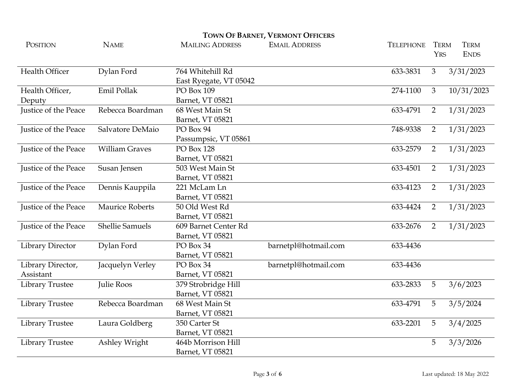| POSITION                    | <b>NAME</b>            | <b>MAILING ADDRESS</b> | <b>EMAIL ADDRESS</b> | <b>TELEPHONE</b> | <b>TERM</b>    | <b>TERM</b> |
|-----------------------------|------------------------|------------------------|----------------------|------------------|----------------|-------------|
|                             |                        |                        |                      |                  | <b>YRS</b>     | <b>ENDS</b> |
| Health Officer              | Dylan Ford             | 764 Whitehill Rd       |                      | 633-3831         | 3              | 3/31/2023   |
|                             |                        | East Ryegate, VT 05042 |                      |                  |                |             |
| Health Officer,             | Emil Pollak            | PO Box 109             |                      | 274-1100         | 3              | 10/31/2023  |
| Deputy                      |                        | Barnet, VT 05821       |                      |                  |                |             |
| Justice of the Peace        | Rebecca Boardman       | 68 West Main St        |                      | 633-4791         | $\overline{2}$ | 1/31/2023   |
|                             |                        | Barnet, VT 05821       |                      |                  |                |             |
| <b>Justice of the Peace</b> | Salvatore DeMaio       | PO Box 94              |                      | 748-9338         | $\overline{2}$ | 1/31/2023   |
|                             |                        | Passumpsic, VT 05861   |                      |                  |                |             |
| Justice of the Peace        | <b>William Graves</b>  | PO Box 128             |                      | 633-2579         | $\overline{2}$ | 1/31/2023   |
|                             |                        | Barnet, VT 05821       |                      |                  |                |             |
| Justice of the Peace        | Susan Jensen           | 503 West Main St       |                      | 633-4501         | 2              | 1/31/2023   |
|                             |                        | Barnet, VT 05821       |                      |                  |                |             |
| Justice of the Peace        | Dennis Kauppila        | 221 McLam Ln           |                      | 633-4123         | $\overline{2}$ | 1/31/2023   |
|                             |                        | Barnet, VT 05821       |                      |                  |                |             |
| Justice of the Peace        | <b>Maurice Roberts</b> | 50 Old West Rd         |                      | 633-4424         | $\overline{2}$ | 1/31/2023   |
|                             |                        | Barnet, VT 05821       |                      |                  |                |             |
| Justice of the Peace        | <b>Shellie Samuels</b> | 609 Barnet Center Rd   |                      | 633-2676         | $\overline{2}$ | 1/31/2023   |
|                             |                        | Barnet, VT 05821       |                      |                  |                |             |
| Library Director            | Dylan Ford             | PO Box 34              | barnetpl@hotmail.com | 633-4436         |                |             |
|                             |                        | Barnet, VT 05821       |                      |                  |                |             |
| Library Director,           | Jacquelyn Verley       | PO Box 34              | barnetpl@hotmail.com | 633-4436         |                |             |
| Assistant                   |                        | Barnet, VT 05821       |                      |                  |                |             |
| Library Trustee             | Julie Roos             | 379 Strobridge Hill    |                      | 633-2833         | 5              | 3/6/2023    |
|                             |                        | Barnet, VT 05821       |                      |                  |                |             |
| Library Trustee             | Rebecca Boardman       | 68 West Main St        |                      | 633-4791         | 5              | 3/5/2024    |
|                             |                        | Barnet, VT 05821       |                      |                  |                |             |
| Library Trustee             | Laura Goldberg         | 350 Carter St          |                      | 633-2201         | 5              | 3/4/2025    |
|                             |                        | Barnet, VT 05821       |                      |                  |                |             |
| Library Trustee             | Ashley Wright          | 464b Morrison Hill     |                      |                  | 5              | 3/3/2026    |
|                             |                        | Barnet, VT 05821       |                      |                  |                |             |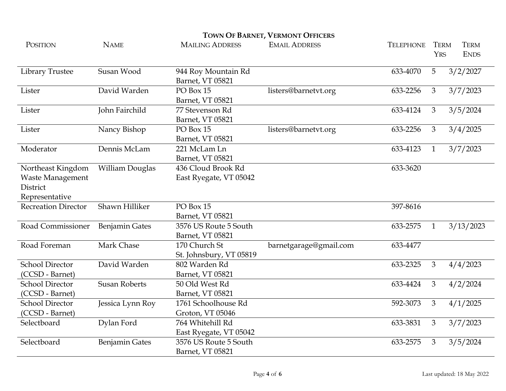| POSITION                   | <b>NAME</b>            | <b>MAILING ADDRESS</b>  | <b>EMAIL ADDRESS</b>   | <b>TELEPHONE</b> | <b>TERM</b>    | <b>TERM</b> |
|----------------------------|------------------------|-------------------------|------------------------|------------------|----------------|-------------|
|                            |                        |                         |                        |                  | <b>YRS</b>     | <b>ENDS</b> |
| <b>Library Trustee</b>     | Susan Wood             | 944 Roy Mountain Rd     |                        | 633-4070         | 5              | 3/2/2027    |
|                            |                        | Barnet, VT 05821        |                        |                  |                |             |
| Lister                     | David Warden           | PO Box 15               | listers@barnetvt.org   | 633-2256         | $\mathfrak{Z}$ | 3/7/2023    |
|                            |                        | Barnet, VT 05821        |                        |                  |                |             |
| Lister                     | John Fairchild         | 77 Stevenson Rd         |                        | 633-4124         | 3              | 3/5/2024    |
|                            |                        | Barnet, VT 05821        |                        |                  |                |             |
| Lister                     | Nancy Bishop           | PO Box 15               | listers@barnetvt.org   | 633-2256         | 3              | 3/4/2025    |
|                            |                        | Barnet, VT 05821        |                        |                  |                |             |
| Moderator                  | Dennis McLam           | 221 McLam Ln            |                        | 633-4123         | $\mathbf{1}$   | 3/7/2023    |
|                            |                        | Barnet, VT 05821        |                        |                  |                |             |
| Northeast Kingdom          | <b>William Douglas</b> | 436 Cloud Brook Rd      |                        | 633-3620         |                |             |
| <b>Waste Management</b>    |                        | East Ryegate, VT 05042  |                        |                  |                |             |
| District                   |                        |                         |                        |                  |                |             |
| Representative             |                        |                         |                        |                  |                |             |
| <b>Recreation Director</b> | Shawn Hilliker         | PO Box 15               |                        | 397-8616         |                |             |
|                            |                        | Barnet, VT 05821        |                        |                  |                |             |
| Road Commissioner          | <b>Benjamin Gates</b>  | 3576 US Route 5 South   |                        | 633-2575         | $\mathbf{1}$   | 3/13/2023   |
|                            |                        | Barnet, VT 05821        |                        |                  |                |             |
| Road Foreman               | Mark Chase             | 170 Church St           | barnetgarage@gmail.com | 633-4477         |                |             |
|                            |                        | St. Johnsbury, VT 05819 |                        |                  |                |             |
| <b>School Director</b>     | David Warden           | 802 Warden Rd           |                        | 633-2325         | 3              | 4/4/2023    |
| (CCSD - Barnet)            |                        | Barnet, VT 05821        |                        |                  |                |             |
| <b>School Director</b>     | <b>Susan Roberts</b>   | 50 Old West Rd          |                        | 633-4424         | 3              | 4/2/2024    |
| (CCSD - Barnet)            |                        | Barnet, VT 05821        |                        |                  |                |             |
| <b>School Director</b>     | Jessica Lynn Roy       | 1761 Schoolhouse Rd     |                        | 592-3073         | 3              | 4/1/2025    |
| (CCSD - Barnet)            |                        | Groton, VT 05046        |                        |                  |                |             |
| Selectboard                | Dylan Ford             | 764 Whitehill Rd        |                        | 633-3831         | 3              | 3/7/2023    |
|                            |                        | East Ryegate, VT 05042  |                        |                  |                |             |
| Selectboard                | <b>Benjamin Gates</b>  | 3576 US Route 5 South   |                        | 633-2575         | 3              | 3/5/2024    |
|                            |                        | Barnet, VT 05821        |                        |                  |                |             |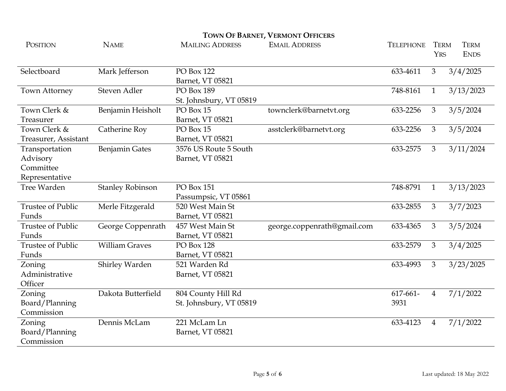| <b>POSITION</b>          | <b>NAME</b>             | <b>MAILING ADDRESS</b>  | <b>EMAIL ADDRESS</b>        | <b>TELEPHONE</b> | <b>TERM</b>    | <b>TERM</b> |
|--------------------------|-------------------------|-------------------------|-----------------------------|------------------|----------------|-------------|
|                          |                         |                         |                             |                  | <b>YRS</b>     | <b>ENDS</b> |
| Selectboard              | Mark Jefferson          | PO Box 122              |                             | 633-4611         | $\mathfrak{Z}$ | 3/4/2025    |
|                          |                         | Barnet, VT 05821        |                             |                  |                |             |
| <b>Town Attorney</b>     | Steven Adler            | PO Box 189              |                             | 748-8161         | $\mathbf{1}$   | 3/13/2023   |
|                          |                         | St. Johnsbury, VT 05819 |                             |                  |                |             |
| Town Clerk &             | Benjamin Heisholt       | PO Box 15               | townclerk@barnetvt.org      | 633-2256         | 3              | 3/5/2024    |
| Treasurer                |                         | Barnet, VT 05821        |                             |                  |                |             |
| Town Clerk &             | Catherine Roy           | PO Box 15               | asstclerk@barnetvt.org      | 633-2256         | 3              | 3/5/2024    |
| Treasurer, Assistant     |                         | Barnet, VT 05821        |                             |                  |                |             |
| Transportation           | <b>Benjamin Gates</b>   | 3576 US Route 5 South   |                             | 633-2575         | $\mathfrak{Z}$ | 3/11/2024   |
| Advisory                 |                         | Barnet, VT 05821        |                             |                  |                |             |
| Committee                |                         |                         |                             |                  |                |             |
| Representative           |                         |                         |                             |                  |                |             |
| Tree Warden              | <b>Stanley Robinson</b> | PO Box 151              |                             | 748-8791         | $\mathbf{1}$   | 3/13/2023   |
|                          |                         | Passumpsic, VT 05861    |                             |                  |                |             |
| <b>Trustee of Public</b> | Merle Fitzgerald        | 520 West Main St        |                             | 633-2855         | 3              | 3/7/2023    |
| Funds                    |                         | Barnet, VT 05821        |                             |                  |                |             |
| <b>Trustee of Public</b> | George Coppenrath       | 457 West Main St        | george.coppenrath@gmail.com | 633-4365         | 3              | 3/5/2024    |
| Funds                    |                         | Barnet, VT 05821        |                             |                  |                |             |
| <b>Trustee of Public</b> | <b>William Graves</b>   | <b>PO Box 128</b>       |                             | 633-2579         | 3              | 3/4/2025    |
| Funds                    |                         | Barnet, VT 05821        |                             |                  |                |             |
| Zoning                   | Shirley Warden          | 521 Warden Rd           |                             | 633-4993         | 3              | 3/23/2025   |
| Administrative           |                         | Barnet, VT 05821        |                             |                  |                |             |
| Officer                  |                         |                         |                             |                  |                |             |
| Zoning                   | Dakota Butterfield      | 804 County Hill Rd      |                             | $617 - 661 -$    | $\overline{4}$ | 7/1/2022    |
| Board/Planning           |                         | St. Johnsbury, VT 05819 |                             | 3931             |                |             |
| Commission               |                         |                         |                             |                  |                |             |
| Zoning                   | Dennis McLam            | 221 McLam Ln            |                             | 633-4123         | 4              | 7/1/2022    |
| Board/Planning           |                         | Barnet, VT 05821        |                             |                  |                |             |
| Commission               |                         |                         |                             |                  |                |             |